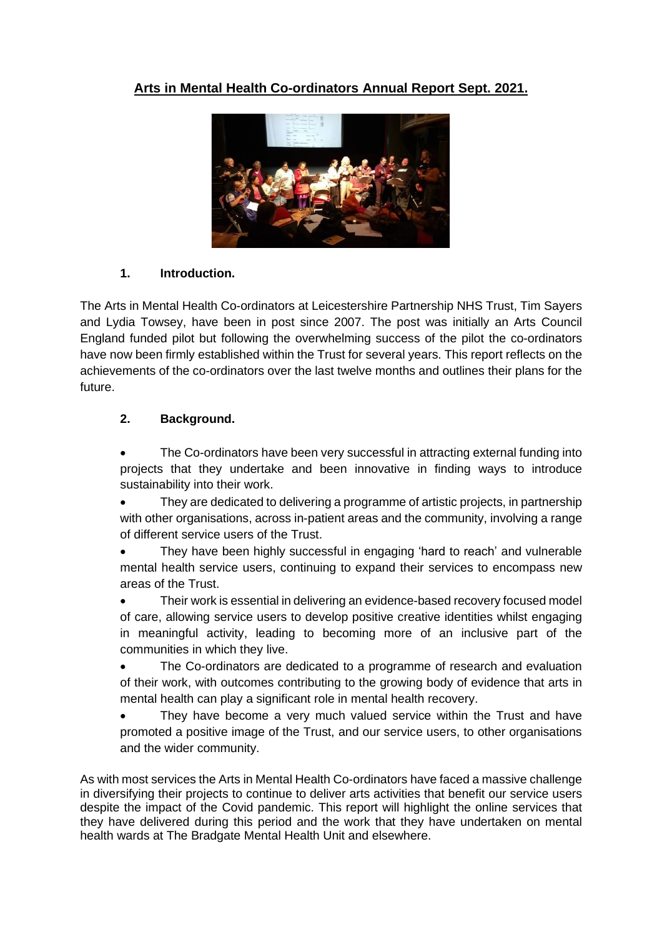# **Arts in Mental Health Co-ordinators Annual Report Sept. 2021.**



### **1. Introduction.**

The Arts in Mental Health Co-ordinators at Leicestershire Partnership NHS Trust, Tim Sayers and Lydia Towsey, have been in post since 2007. The post was initially an Arts Council England funded pilot but following the overwhelming success of the pilot the co-ordinators have now been firmly established within the Trust for several years. This report reflects on the achievements of the co-ordinators over the last twelve months and outlines their plans for the future.

# **2. Background.**

• The Co-ordinators have been very successful in attracting external funding into projects that they undertake and been innovative in finding ways to introduce sustainability into their work.

• They are dedicated to delivering a programme of artistic projects, in partnership with other organisations, across in-patient areas and the community, involving a range of different service users of the Trust.

• They have been highly successful in engaging 'hard to reach' and vulnerable mental health service users, continuing to expand their services to encompass new areas of the Trust.

• Their work is essential in delivering an evidence-based recovery focused model of care, allowing service users to develop positive creative identities whilst engaging in meaningful activity, leading to becoming more of an inclusive part of the communities in which they live.

• The Co-ordinators are dedicated to a programme of research and evaluation of their work, with outcomes contributing to the growing body of evidence that arts in mental health can play a significant role in mental health recovery.

They have become a very much valued service within the Trust and have promoted a positive image of the Trust, and our service users, to other organisations and the wider community.

As with most services the Arts in Mental Health Co-ordinators have faced a massive challenge in diversifying their projects to continue to deliver arts activities that benefit our service users despite the impact of the Covid pandemic. This report will highlight the online services that they have delivered during this period and the work that they have undertaken on mental health wards at The Bradgate Mental Health Unit and elsewhere.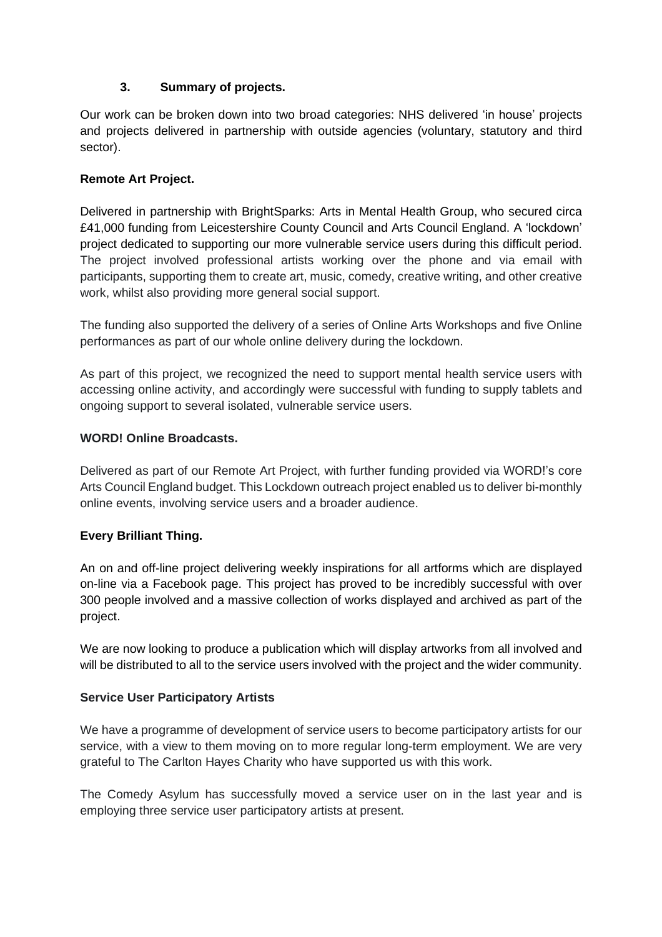# **3. Summary of projects.**

Our work can be broken down into two broad categories: NHS delivered 'in house' projects and projects delivered in partnership with outside agencies (voluntary, statutory and third sector).

# **Remote Art Project.**

Delivered in partnership with BrightSparks: Arts in Mental Health Group, who secured circa £41,000 funding from Leicestershire County Council and Arts Council England. A 'lockdown' project dedicated to supporting our more vulnerable service users during this difficult period. The project involved professional artists working over the phone and via email with participants, supporting them to create art, music, comedy, creative writing, and other creative work, whilst also providing more general social support.

The funding also supported the delivery of a series of Online Arts Workshops and five Online performances as part of our whole online delivery during the lockdown.

As part of this project, we recognized the need to support mental health service users with accessing online activity, and accordingly were successful with funding to supply tablets and ongoing support to several isolated, vulnerable service users.

### **WORD! Online Broadcasts.**

Delivered as part of our Remote Art Project, with further funding provided via WORD!'s core Arts Council England budget. This Lockdown outreach project enabled us to deliver bi-monthly online events, involving service users and a broader audience.

# **Every Brilliant Thing.**

An on and off-line project delivering weekly inspirations for all artforms which are displayed on-line via a Facebook page. This project has proved to be incredibly successful with over 300 people involved and a massive collection of works displayed and archived as part of the project.

We are now looking to produce a publication which will display artworks from all involved and will be distributed to all to the service users involved with the project and the wider community.

# **Service User Participatory Artists**

We have a programme of development of service users to become participatory artists for our service, with a view to them moving on to more regular long-term employment. We are very grateful to The Carlton Hayes Charity who have supported us with this work.

The Comedy Asylum has successfully moved a service user on in the last year and is employing three service user participatory artists at present.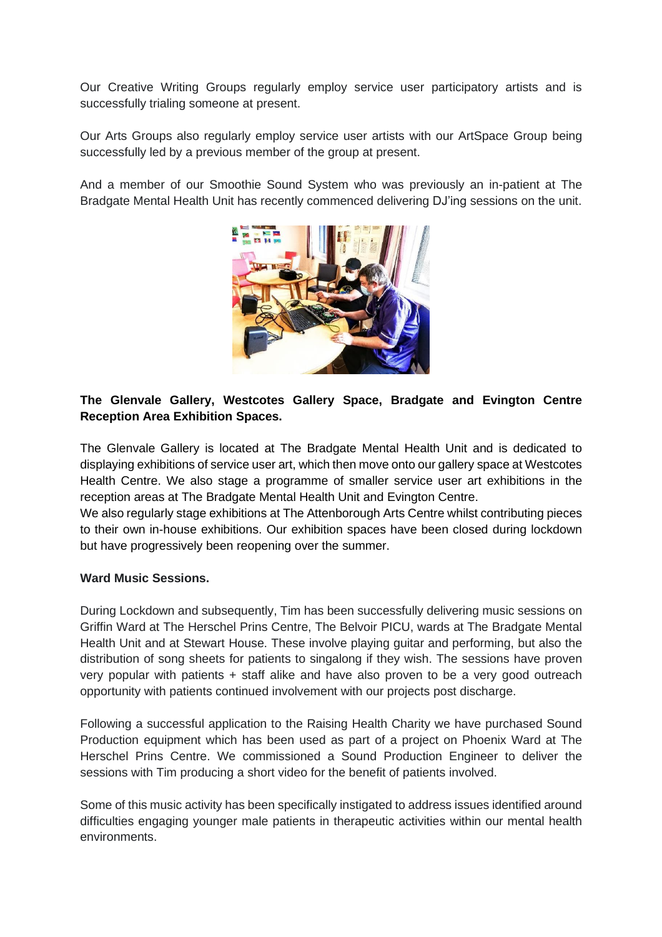Our Creative Writing Groups regularly employ service user participatory artists and is successfully trialing someone at present.

Our Arts Groups also regularly employ service user artists with our ArtSpace Group being successfully led by a previous member of the group at present.

And a member of our Smoothie Sound System who was previously an in-patient at The Bradgate Mental Health Unit has recently commenced delivering DJ'ing sessions on the unit.



# **The Glenvale Gallery, Westcotes Gallery Space, Bradgate and Evington Centre Reception Area Exhibition Spaces.**

The Glenvale Gallery is located at The Bradgate Mental Health Unit and is dedicated to displaying exhibitions of service user art, which then move onto our gallery space at Westcotes Health Centre. We also stage a programme of smaller service user art exhibitions in the reception areas at The Bradgate Mental Health Unit and Evington Centre.

We also regularly stage exhibitions at The Attenborough Arts Centre whilst contributing pieces to their own in-house exhibitions. Our exhibition spaces have been closed during lockdown but have progressively been reopening over the summer.

#### **Ward Music Sessions.**

During Lockdown and subsequently, Tim has been successfully delivering music sessions on Griffin Ward at The Herschel Prins Centre, The Belvoir PICU, wards at The Bradgate Mental Health Unit and at Stewart House. These involve playing guitar and performing, but also the distribution of song sheets for patients to singalong if they wish. The sessions have proven very popular with patients + staff alike and have also proven to be a very good outreach opportunity with patients continued involvement with our projects post discharge.

Following a successful application to the Raising Health Charity we have purchased Sound Production equipment which has been used as part of a project on Phoenix Ward at The Herschel Prins Centre. We commissioned a Sound Production Engineer to deliver the sessions with Tim producing a short video for the benefit of patients involved.

Some of this music activity has been specifically instigated to address issues identified around difficulties engaging younger male patients in therapeutic activities within our mental health environments.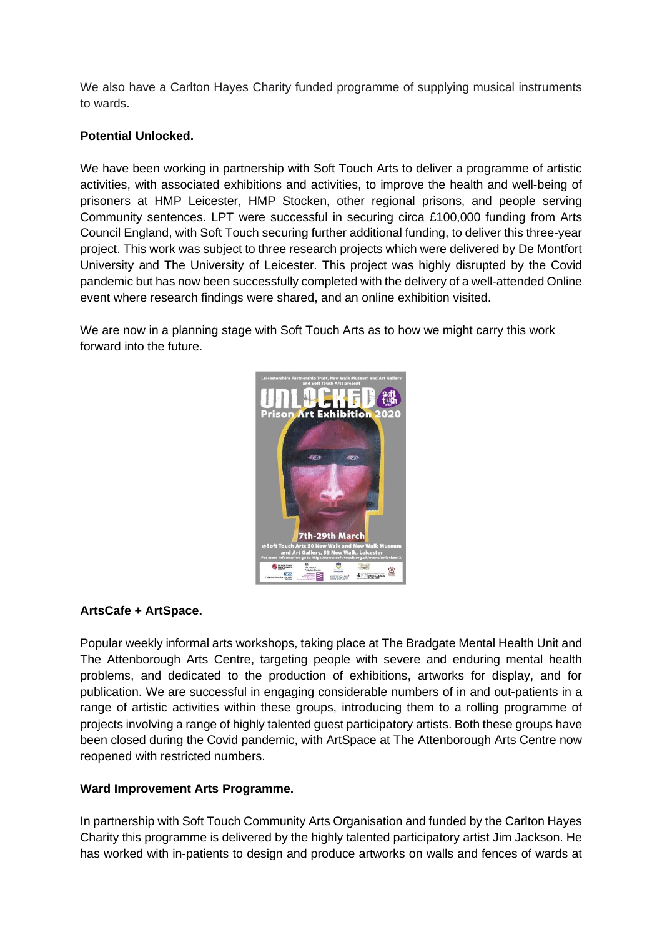We also have a Carlton Hayes Charity funded programme of supplying musical instruments to wards.

# **Potential Unlocked.**

We have been working in partnership with Soft Touch Arts to deliver a programme of artistic activities, with associated exhibitions and activities, to improve the health and well-being of prisoners at HMP Leicester, HMP Stocken, other regional prisons, and people serving Community sentences. LPT were successful in securing circa £100,000 funding from Arts Council England, with Soft Touch securing further additional funding, to deliver this three-year project. This work was subject to three research projects which were delivered by De Montfort University and The University of Leicester. This project was highly disrupted by the Covid pandemic but has now been successfully completed with the delivery of a well-attended Online event where research findings were shared, and an online exhibition visited.

We are now in a planning stage with Soft Touch Arts as to how we might carry this work forward into the future.



# **ArtsCafe + ArtSpace.**

Popular weekly informal arts workshops, taking place at The Bradgate Mental Health Unit and The Attenborough Arts Centre, targeting people with severe and enduring mental health problems, and dedicated to the production of exhibitions, artworks for display, and for publication. We are successful in engaging considerable numbers of in and out-patients in a range of artistic activities within these groups, introducing them to a rolling programme of projects involving a range of highly talented guest participatory artists. Both these groups have been closed during the Covid pandemic, with ArtSpace at The Attenborough Arts Centre now reopened with restricted numbers.

#### **Ward Improvement Arts Programme.**

In partnership with Soft Touch Community Arts Organisation and funded by the Carlton Hayes Charity this programme is delivered by the highly talented participatory artist Jim Jackson. He has worked with in-patients to design and produce artworks on walls and fences of wards at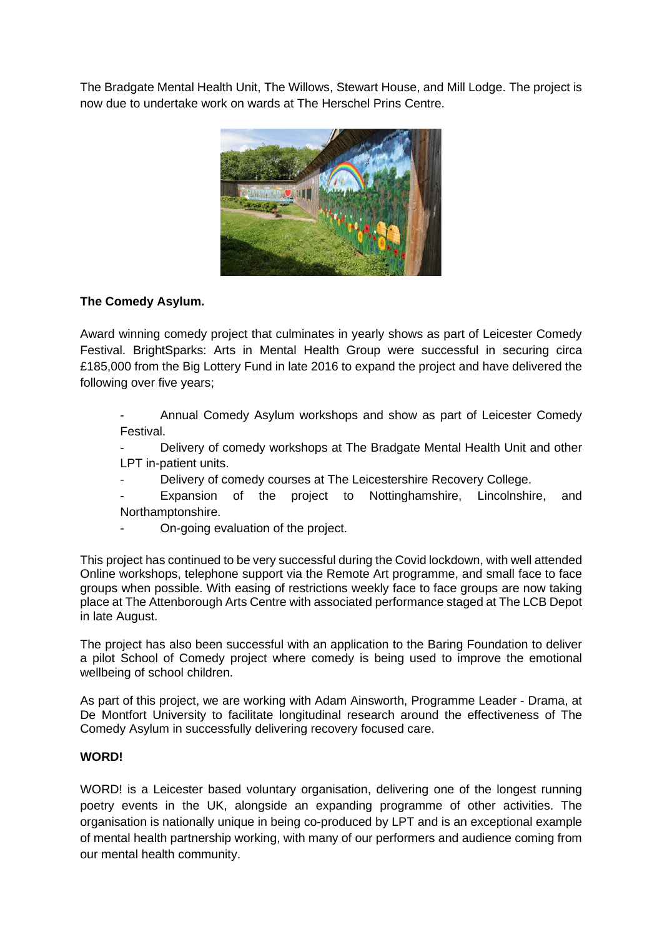The Bradgate Mental Health Unit, The Willows, Stewart House, and Mill Lodge. The project is now due to undertake work on wards at The Herschel Prins Centre.



### **The Comedy Asylum.**

Award winning comedy project that culminates in yearly shows as part of Leicester Comedy Festival. BrightSparks: Arts in Mental Health Group were successful in securing circa £185,000 from the Big Lottery Fund in late 2016 to expand the project and have delivered the following over five years;

- Annual Comedy Asylum workshops and show as part of Leicester Comedy Festival.

Delivery of comedy workshops at The Bradgate Mental Health Unit and other LPT in-patient units.

Delivery of comedy courses at The Leicestershire Recovery College.

Expansion of the project to Nottinghamshire, Lincolnshire, and Northamptonshire.

- On-going evaluation of the project.

This project has continued to be very successful during the Covid lockdown, with well attended Online workshops, telephone support via the Remote Art programme, and small face to face groups when possible. With easing of restrictions weekly face to face groups are now taking place at The Attenborough Arts Centre with associated performance staged at The LCB Depot in late August.

The project has also been successful with an application to the Baring Foundation to deliver a pilot School of Comedy project where comedy is being used to improve the emotional wellbeing of school children.

As part of this project, we are working with Adam Ainsworth, Programme Leader - Drama, at De Montfort University to facilitate longitudinal research around the effectiveness of The Comedy Asylum in successfully delivering recovery focused care.

#### **WORD!**

WORD! is a Leicester based voluntary organisation, delivering one of the longest running poetry events in the UK, alongside an expanding programme of other activities. The organisation is nationally unique in being co-produced by LPT and is an exceptional example of mental health partnership working, with many of our performers and audience coming from our mental health community.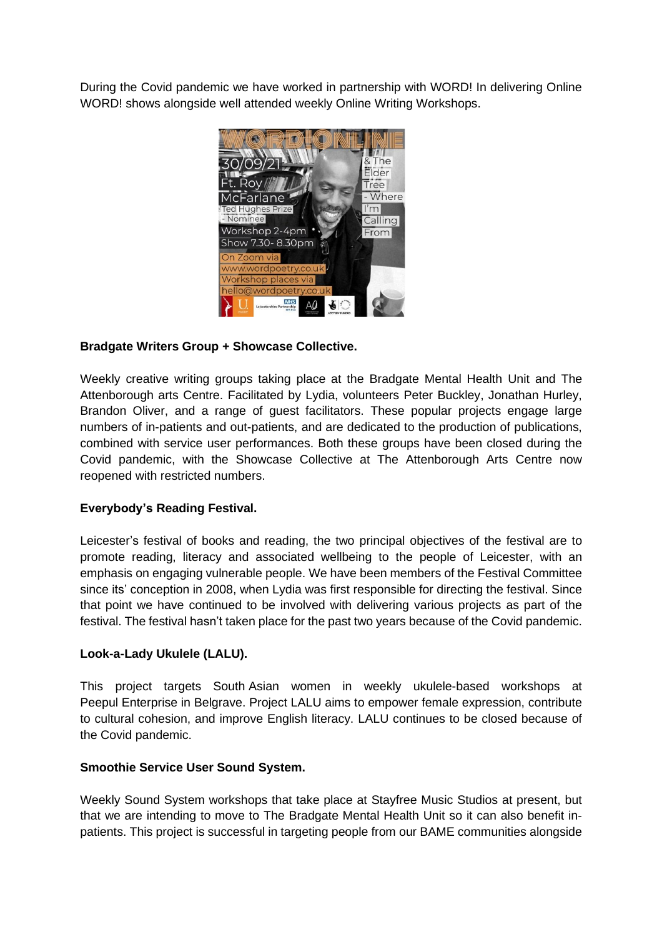During the Covid pandemic we have worked in partnership with WORD! In delivering Online WORD! shows alongside well attended weekly Online Writing Workshops.



### **Bradgate Writers Group + Showcase Collective.**

Weekly creative writing groups taking place at the Bradgate Mental Health Unit and The Attenborough arts Centre. Facilitated by Lydia, volunteers Peter Buckley, Jonathan Hurley, Brandon Oliver, and a range of guest facilitators. These popular projects engage large numbers of in-patients and out-patients, and are dedicated to the production of publications, combined with service user performances. Both these groups have been closed during the Covid pandemic, with the Showcase Collective at The Attenborough Arts Centre now reopened with restricted numbers.

#### **Everybody's Reading Festival.**

Leicester's festival of books and reading, the two principal objectives of the festival are to promote reading, literacy and associated wellbeing to the people of Leicester, with an emphasis on engaging vulnerable people. We have been members of the Festival Committee since its' conception in 2008, when Lydia was first responsible for directing the festival. Since that point we have continued to be involved with delivering various projects as part of the festival. The festival hasn't taken place for the past two years because of the Covid pandemic.

#### **Look-a-Lady Ukulele (LALU).**

This project targets South Asian women in weekly ukulele-based workshops at Peepul Enterprise in Belgrave. Project LALU aims to empower female expression, contribute to cultural cohesion, and improve English literacy. LALU continues to be closed because of the Covid pandemic.

#### **Smoothie Service User Sound System.**

Weekly Sound System workshops that take place at Stayfree Music Studios at present, but that we are intending to move to The Bradgate Mental Health Unit so it can also benefit inpatients. This project is successful in targeting people from our BAME communities alongside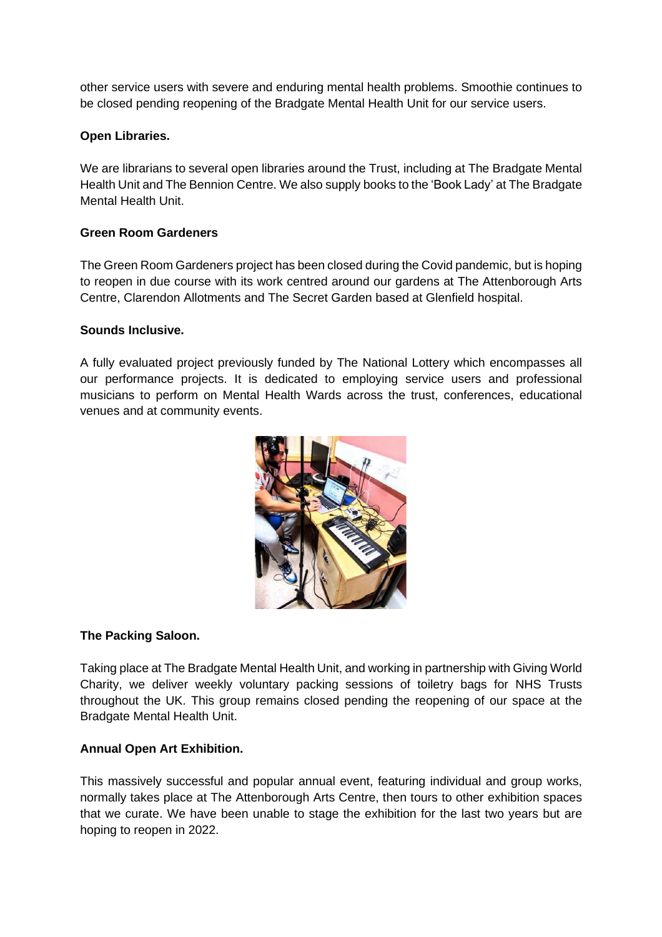other service users with severe and enduring mental health problems. Smoothie continues to be closed pending reopening of the Bradgate Mental Health Unit for our service users.

#### **Open Libraries.**

We are librarians to several open libraries around the Trust, including at The Bradgate Mental Health Unit and The Bennion Centre. We also supply books to the 'Book Lady' at The Bradgate Mental Health Unit.

#### **Green Room Gardeners**

The Green Room Gardeners project has been closed during the Covid pandemic, but is hoping to reopen in due course with its work centred around our gardens at The Attenborough Arts Centre, Clarendon Allotments and The Secret Garden based at Glenfield hospital.

#### **Sounds Inclusive.**

A fully evaluated project previously funded by The National Lottery which encompasses all our performance projects. It is dedicated to employing service users and professional musicians to perform on Mental Health Wards across the trust, conferences, educational venues and at community events.



#### **The Packing Saloon.**

Taking place at The Bradgate Mental Health Unit, and working in partnership with Giving World Charity, we deliver weekly voluntary packing sessions of toiletry bags for NHS Trusts throughout the UK. This group remains closed pending the reopening of our space at the Bradgate Mental Health Unit.

#### **Annual Open Art Exhibition.**

This massively successful and popular annual event, featuring individual and group works, normally takes place at The Attenborough Arts Centre, then tours to other exhibition spaces that we curate. We have been unable to stage the exhibition for the last two years but are hoping to reopen in 2022.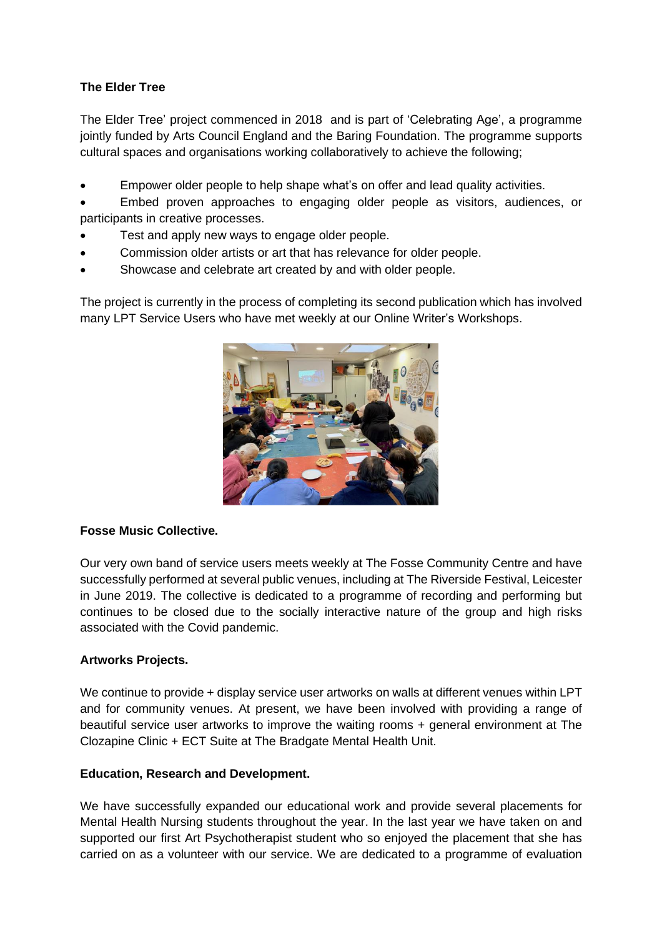# **The Elder Tree**

The Elder Tree' project commenced in 2018 and is part of 'Celebrating Age', a programme jointly funded by Arts Council England and the Baring Foundation. The programme supports cultural spaces and organisations working collaboratively to achieve the following;

• Empower older people to help shape what's on offer and lead quality activities.

• Embed proven approaches to engaging older people as visitors, audiences, or participants in creative processes.

- Test and apply new ways to engage older people.
- Commission older artists or art that has relevance for older people.
- Showcase and celebrate art created by and with older people.

The project is currently in the process of completing its second publication which has involved many LPT Service Users who have met weekly at our Online Writer's Workshops.



# **Fosse Music Collective.**

Our very own band of service users meets weekly at The Fosse Community Centre and have successfully performed at several public venues, including at The Riverside Festival, Leicester in June 2019. The collective is dedicated to a programme of recording and performing but continues to be closed due to the socially interactive nature of the group and high risks associated with the Covid pandemic.

# **Artworks Projects.**

We continue to provide + display service user artworks on walls at different venues within LPT and for community venues. At present, we have been involved with providing a range of beautiful service user artworks to improve the waiting rooms + general environment at The Clozapine Clinic + ECT Suite at The Bradgate Mental Health Unit.

# **Education, Research and Development.**

We have successfully expanded our educational work and provide several placements for Mental Health Nursing students throughout the year. In the last year we have taken on and supported our first Art Psychotherapist student who so enjoyed the placement that she has carried on as a volunteer with our service. We are dedicated to a programme of evaluation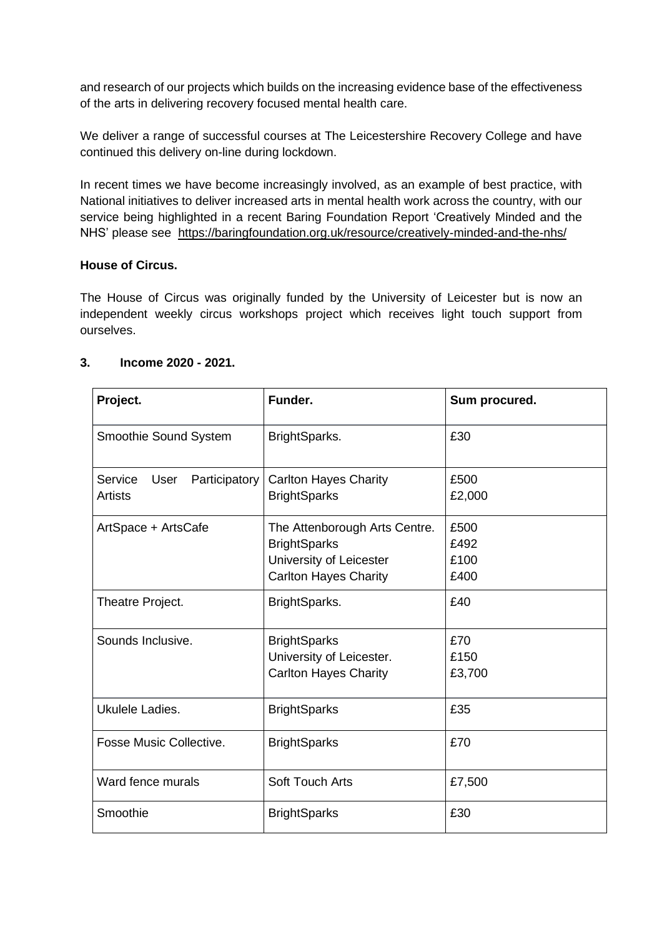and research of our projects which builds on the increasing evidence base of the effectiveness of the arts in delivering recovery focused mental health care.

We deliver a range of successful courses at The Leicestershire Recovery College and have continued this delivery on-line during lockdown.

In recent times we have become increasingly involved, as an example of best practice, with National initiatives to deliver increased arts in mental health work across the country, with our service being highlighted in a recent Baring Foundation Report 'Creatively Minded and the NHS' please see <https://baringfoundation.org.uk/resource/creatively-minded-and-the-nhs/>

# **House of Circus.**

The House of Circus was originally funded by the University of Leicester but is now an independent weekly circus workshops project which receives light touch support from ourselves.

| Project.                                           | Funder.                                                                                                         | Sum procured.                |
|----------------------------------------------------|-----------------------------------------------------------------------------------------------------------------|------------------------------|
| Smoothie Sound System                              | BrightSparks.                                                                                                   | £30                          |
| Service<br>Participatory<br>User<br><b>Artists</b> | <b>Carlton Hayes Charity</b><br><b>BrightSparks</b>                                                             | £500<br>£2,000               |
| ArtSpace + ArtsCafe                                | The Attenborough Arts Centre.<br><b>BrightSparks</b><br>University of Leicester<br><b>Carlton Hayes Charity</b> | £500<br>£492<br>£100<br>£400 |
| Theatre Project.                                   | BrightSparks.                                                                                                   | £40                          |
| Sounds Inclusive.                                  | <b>BrightSparks</b><br>University of Leicester.<br><b>Carlton Hayes Charity</b>                                 | £70<br>£150<br>£3,700        |
| Ukulele Ladies.                                    | <b>BrightSparks</b>                                                                                             | £35                          |
| <b>Fosse Music Collective.</b>                     | <b>BrightSparks</b>                                                                                             | £70                          |
| Ward fence murals                                  | Soft Touch Arts                                                                                                 | £7,500                       |
| Smoothie                                           | <b>BrightSparks</b>                                                                                             | £30                          |

#### **3. Income 2020 - 2021.**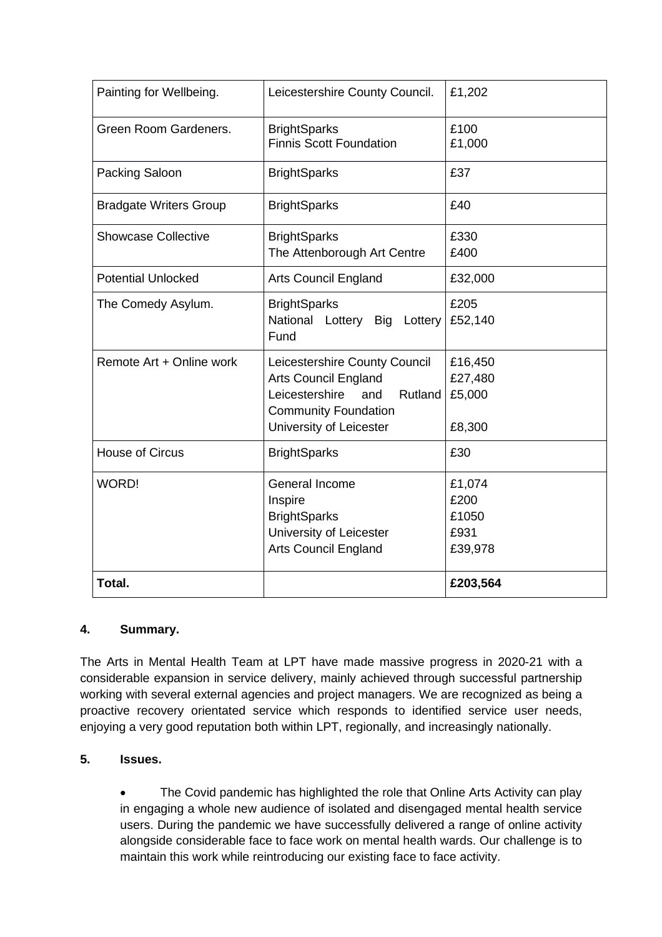| Painting for Wellbeing.       | Leicestershire County Council.                                                                                                                             | £1,202                                     |
|-------------------------------|------------------------------------------------------------------------------------------------------------------------------------------------------------|--------------------------------------------|
| Green Room Gardeners.         | <b>BrightSparks</b><br><b>Finnis Scott Foundation</b>                                                                                                      | £100<br>£1,000                             |
| Packing Saloon                | <b>BrightSparks</b>                                                                                                                                        | £37                                        |
| <b>Bradgate Writers Group</b> | <b>BrightSparks</b>                                                                                                                                        | £40                                        |
| <b>Showcase Collective</b>    | <b>BrightSparks</b><br>The Attenborough Art Centre                                                                                                         | £330<br>£400                               |
| <b>Potential Unlocked</b>     | <b>Arts Council England</b>                                                                                                                                | £32,000                                    |
| The Comedy Asylum.            | <b>BrightSparks</b><br>National Lottery Big<br>Lottery<br>Fund                                                                                             | £205<br>£52,140                            |
| Remote Art + Online work      | Leicestershire County Council<br><b>Arts Council England</b><br>Rutland<br>Leicestershire<br>and<br><b>Community Foundation</b><br>University of Leicester | £16,450<br>£27,480<br>£5,000<br>£8,300     |
| <b>House of Circus</b>        | <b>BrightSparks</b>                                                                                                                                        | £30                                        |
| WORD!                         | General Income<br>Inspire<br><b>BrightSparks</b><br>University of Leicester<br><b>Arts Council England</b>                                                 | £1,074<br>£200<br>£1050<br>£931<br>£39,978 |
| Total.                        |                                                                                                                                                            | £203,564                                   |

# **4. Summary.**

The Arts in Mental Health Team at LPT have made massive progress in 2020-21 with a considerable expansion in service delivery, mainly achieved through successful partnership working with several external agencies and project managers. We are recognized as being a proactive recovery orientated service which responds to identified service user needs, enjoying a very good reputation both within LPT, regionally, and increasingly nationally.

# **5. Issues.**

The Covid pandemic has highlighted the role that Online Arts Activity can play in engaging a whole new audience of isolated and disengaged mental health service users. During the pandemic we have successfully delivered a range of online activity alongside considerable face to face work on mental health wards. Our challenge is to maintain this work while reintroducing our existing face to face activity.